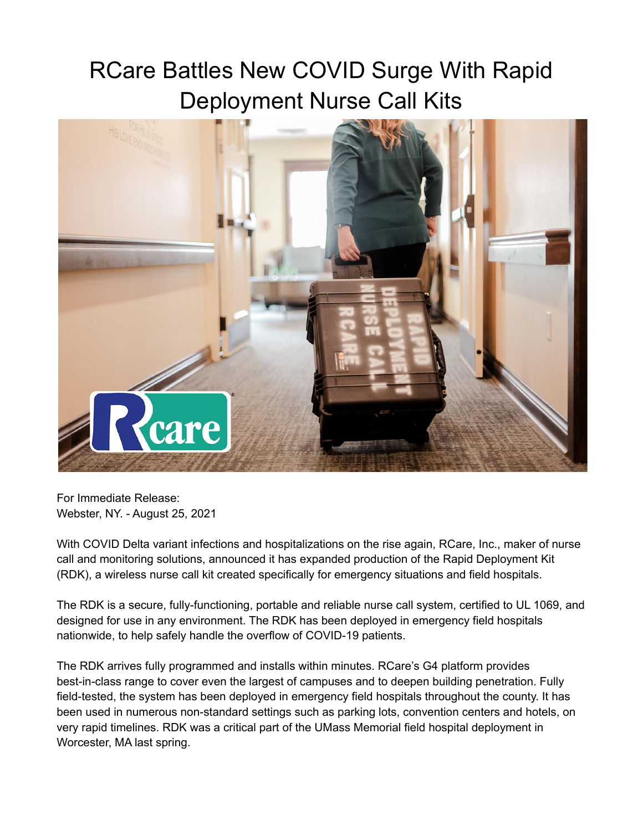## RCare Battles New COVID Surge With Rapid Deployment Nurse Call Kits



For Immediate Release: Webster, NY. - August 25, 2021

With COVID Delta variant infections and hospitalizations on the rise again, RCare, Inc., maker of nurse call and monitoring solutions, announced it has expanded production of the Rapid Deployment Kit (RDK), a wireless nurse call kit created specifically for emergency situations and field hospitals.

The RDK is a secure, fully-functioning, portable and reliable nurse call system, certified to UL 1069, and designed for use in any environment. The RDK has been deployed in emergency field hospitals nationwide, to help safely handle the overflow of COVID-19 patients.

The RDK arrives fully programmed and installs within minutes. RCare's G4 platform provides best-in-class range to cover even the largest of campuses and to deepen building penetration. Fully field-tested, the system has been deployed in emergency field hospitals throughout the county. It has been used in numerous non-standard settings such as parking lots, convention centers and hotels, on very rapid timelines. RDK was a critical part of the UMass Memorial field hospital deployment in Worcester, MA last spring.